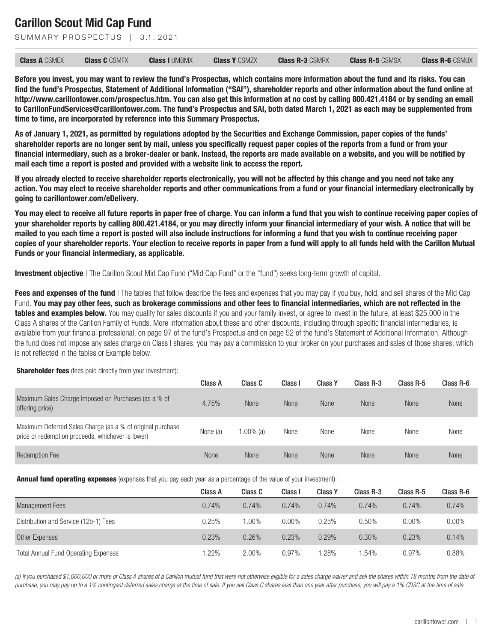SUMMARY PROSPECTUS | 3.1.2021

| <b>Class A CSMEX</b> | <b>Class C</b> CSMFX | <b>Class I UMBMX</b> | <b>Class Y CSMZX</b> | <b>Class R-3 CSMRX</b> | <b>Class R-5 CSMSX</b> | <b>Class R-6 CSMUX</b> |
|----------------------|----------------------|----------------------|----------------------|------------------------|------------------------|------------------------|
|                      |                      |                      |                      |                        |                        |                        |

**Before you invest, you may want to review the fund's Prospectus, which contains more information about the fund and its risks. You can find the fund's Prospectus, Statement of Additional Information ("SAI"), shareholder reports and other information about the fund online at http://www.carillontower.com/prospectus.htm. You can also get this information at no cost by calling 800.421.4184 or by sending an email to CarillonFundServices@carillontower.com. The fund's Prospectus and SAI, both dated March 1, 2021 as each may be supplemented from time to time, are incorporated by reference into this Summary Prospectus.**

**As of January 1, 2021, as permitted by regulations adopted by the Securities and Exchange Commission, paper copies of the funds' shareholder reports are no longer sent by mail, unless you specifically request paper copies of the reports from a fund or from your financial intermediary, such as a broker-dealer or bank. Instead, the reports are made available on a website, and you will be notified by mail each time a report is posted and provided with a website link to access the report.**

**If you already elected to receive shareholder reports electronically, you will not be affected by this change and you need not take any action. You may elect to receive shareholder reports and other communications from a fund or your financial intermediary electronically by going to carillontower.com/eDelivery.**

**You may elect to receive all future reports in paper free of charge. You can inform a fund that you wish to continue receiving paper copies of your shareholder reports by calling 800.421.4184, or you may directly inform your financial intermediary of your wish. A notice that will be mailed to you each time a report is posted will also include instructions for informing a fund that you wish to continue receiving paper copies of your shareholder reports. Your election to receive reports in paper from a fund will apply to all funds held with the Carillon Mutual Funds or your financial intermediary, as applicable.**

**Investment objective** | The Carillon Scout Mid Cap Fund ("Mid Cap Fund" or the "fund") seeks long-term growth of capital.

**Fees and expenses of the fund** | The tables that follow describe the fees and expenses that you may pay if you buy, hold, and sell shares of the Mid Cap Fund. **You may pay other fees, such as brokerage commissions and other fees to financial intermediaries, which are not reflected in the** tables and examples below. You may qualify for sales discounts if you and your family invest, or agree to invest in the future, at least \$25,000 in the Class A shares of the Carillon Family of Funds. More information about these and other discounts, including through specific financial intermediaries, is available from your financial professional, on page 97 of the fund's Prospectus and on page 52 of the fund's Statement of Additional Information. Although the fund does not impose any sales charge on Class I shares, you may pay a commission to your broker on your purchases and sales of those shares, which is not reflected in the tables or Example below.

#### **Shareholder fees** (fees paid directly from your investment):

|                                                                                                                 | Class A  | Class C   | Class I     | <b>Class Y</b> | Class R-3   | Class R-5   | Class R-6   |
|-----------------------------------------------------------------------------------------------------------------|----------|-----------|-------------|----------------|-------------|-------------|-------------|
| Maximum Sales Charge Imposed on Purchases (as a % of<br>offering price)                                         | 4.75%    | None      | <b>None</b> | <b>None</b>    | <b>None</b> | <b>None</b> | <b>None</b> |
| Maximum Deferred Sales Charge (as a % of original purchase<br>price or redemption proceeds, whichever is lower) | None (a) | 1.00% (a) | None        | None           | None        | None        | None        |
| <b>Redemption Fee</b>                                                                                           | None     | None      | <b>None</b> | None           | <b>None</b> | <b>None</b> | None        |

**Annual fund operating expenses** (expenses that you pay each year as a percentage of the value of your investment):

|                                             | Class A | Class C | Class I  | <b>Class Y</b> | Class R-3 | Class R-5 | Class R-6 |
|---------------------------------------------|---------|---------|----------|----------------|-----------|-----------|-----------|
| <b>Management Fees</b>                      | 0.74%   | 0.74%   | 0.74%    | 0.74%          | 0.74%     | 0.74%     | 0.74%     |
| Distribution and Service (12b-1) Fees       | 0.25%   | 1.00%   | $0.00\%$ | 0.25%          | 0.50%     | $0.00\%$  | $0.00\%$  |
| Other Expenses                              | 0.23%   | 0.26%   | 0.23%    | 0.29%          | 0.30%     | 0.23%     | 0.14%     |
| <b>Total Annual Fund Operating Expenses</b> | .22%    | 2.00%   | 0.97%    | .28%           | 1.54%     | 0.97%     | 0.88%     |

*(a) If you purchased \$1,000,000 or more of Class A shares of a Carillon mutual fund that were not otherwise eligible for a sales charge waiver and sell the shares within 18 months from the date of purchase, you may pay up to a 1% contingent deferred sales charge at the time of sale. If you sell Class C shares less than one year after purchase, you will pay a 1% CDSC at the time of sale.*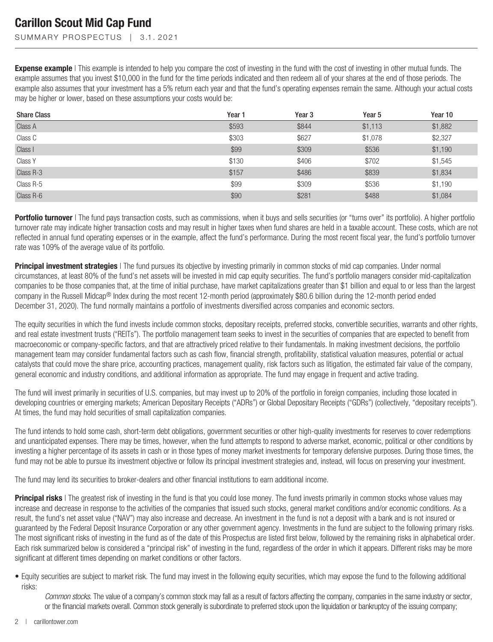SUMMARY PROSPECTUS | 3.1.2021

**Expense example** | This example is intended to help you compare the cost of investing in the fund with the cost of investing in other mutual funds. The example assumes that you invest \$10,000 in the fund for the time periods indicated and then redeem all of your shares at the end of those periods. The example also assumes that your investment has a 5% return each year and that the fund's operating expenses remain the same. Although your actual costs may be higher or lower, based on these assumptions your costs would be:

| <b>Share Class</b> | Year 1 | Year <sub>3</sub> | Year 5  | Year 10 |
|--------------------|--------|-------------------|---------|---------|
| Class A            | \$593  | \$844             | \$1,113 | \$1,882 |
| Class C            | \$303  | \$627             | \$1,078 | \$2,327 |
| Class I            | \$99   | \$309             | \$536   | \$1,190 |
| Class Y            | \$130  | \$406             | \$702   | \$1,545 |
| Class R-3          | \$157  | \$486             | \$839   | \$1,834 |
| Class R-5          | \$99   | \$309             | \$536   | \$1,190 |
| Class R-6          | \$90   | \$281             | \$488   | \$1,084 |

**Portfolio turnover** | The fund pays transaction costs, such as commissions, when it buys and sells securities (or "turns over" its portfolio). A higher portfolio turnover rate may indicate higher transaction costs and may result in higher taxes when fund shares are held in a taxable account. These costs, which are not reflected in annual fund operating expenses or in the example, affect the fund's performance. During the most recent fiscal year, the fund's portfolio turnover rate was 109% of the average value of its portfolio.

**Principal investment strategies** | The fund pursues its objective by investing primarily in common stocks of mid cap companies. Under normal circumstances, at least 80% of the fund's net assets will be invested in mid cap equity securities. The fund's portfolio managers consider mid-capitalization companies to be those companies that, at the time of initial purchase, have market capitalizations greater than \$1 billion and equal to or less than the largest company in the Russell Midcap<sup>®</sup> Index during the most recent 12-month period (approximately \$80.6 billion during the 12-month period ended December 31, 2020). The fund normally maintains a portfolio of investments diversified across companies and economic sectors.

The equity securities in which the fund invests include common stocks, depositary receipts, preferred stocks, convertible securities, warrants and other rights, and real estate investment trusts ("REITs"). The portfolio management team seeks to invest in the securities of companies that are expected to benefit from macroeconomic or company-specific factors, and that are attractively priced relative to their fundamentals. In making investment decisions, the portfolio management team may consider fundamental factors such as cash flow, financial strength, profitability, statistical valuation measures, potential or actual catalysts that could move the share price, accounting practices, management quality, risk factors such as litigation, the estimated fair value of the company, general economic and industry conditions, and additional information as appropriate. The fund may engage in frequent and active trading.

The fund will invest primarily in securities of U.S. companies, but may invest up to 20% of the portfolio in foreign companies, including those located in developing countries or emerging markets; American Depositary Receipts ("ADRs") or Global Depositary Receipts ("GDRs") (collectively, "depositary receipts"). At times, the fund may hold securities of small capitalization companies.

The fund intends to hold some cash, short-term debt obligations, government securities or other high-quality investments for reserves to cover redemptions and unanticipated expenses. There may be times, however, when the fund attempts to respond to adverse market, economic, political or other conditions by investing a higher percentage of its assets in cash or in those types of money market investments for temporary defensive purposes. During those times, the fund may not be able to pursue its investment objective or follow its principal investment strategies and, instead, will focus on preserving your investment.

The fund may lend its securities to broker-dealers and other financial institutions to earn additional income.

**Principal risks** | The greatest risk of investing in the fund is that you could lose money. The fund invests primarily in common stocks whose values may increase and decrease in response to the activities of the companies that issued such stocks, general market conditions and/or economic conditions. As a result, the fund's net asset value ("NAV") may also increase and decrease. An investment in the fund is not a deposit with a bank and is not insured or guaranteed by the Federal Deposit Insurance Corporation or any other government agency. Investments in the fund are subject to the following primary risks. The most significant risks of investing in the fund as of the date of this Prospectus are listed first below, followed by the remaining risks in alphabetical order. Each risk summarized below is considered a "principal risk" of investing in the fund, regardless of the order in which it appears. Different risks may be more significant at different times depending on market conditions or other factors.

• Equity securities are subject to market risk. The fund may invest in the following equity securities, which may expose the fund to the following additional risks:

*Common stocks*. The value of a company's common stock may fall as a result of factors affecting the company, companies in the same industry or sector, or the financial markets overall. Common stock generally is subordinate to preferred stock upon the liquidation or bankruptcy of the issuing company;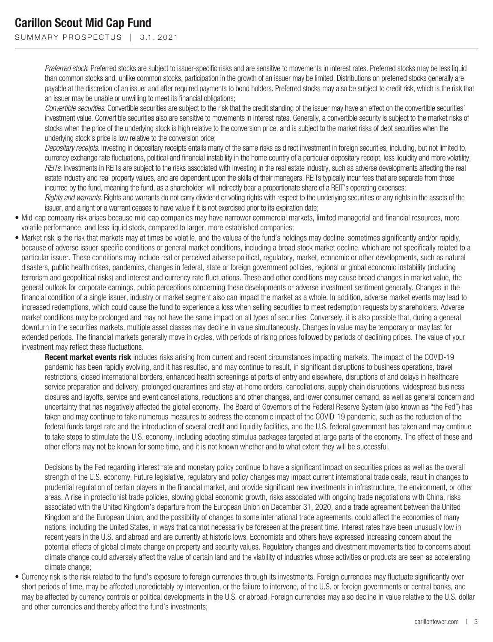SUMMARY PROSPECTUS | 3.1.2021

*Preferred stock*. Preferred stocks are subject to issuer-specific risks and are sensitive to movements in interest rates. Preferred stocks may be less liquid than common stocks and, unlike common stocks, participation in the growth of an issuer may be limited. Distributions on preferred stocks generally are payable at the discretion of an issuer and after required payments to bond holders. Preferred stocks may also be subject to credit risk, which is the risk that an issuer may be unable or unwilling to meet its financial obligations;

*Convertible securities*. Convertible securities are subject to the risk that the credit standing of the issuer may have an effect on the convertible securities' investment value. Convertible securities also are sensitive to movements in interest rates. Generally, a convertible security is subject to the market risks of stocks when the price of the underlying stock is high relative to the conversion price, and is subject to the market risks of debt securities when the underlying stock's price is low relative to the conversion price;

*Depositary receipts*. Investing in depositary receipts entails many of the same risks as direct investment in foreign securities, including, but not limited to, currency exchange rate fluctuations, political and financial instability in the home country of a particular depositary receipt, less liquidity and more volatility; *REITs*. Investments in REITs are subject to the risks associated with investing in the real estate industry, such as adverse developments affecting the real estate industry and real property values, and are dependent upon the skills of their managers. REITs typically incur fees that are separate from those incurred by the fund, meaning the fund, as a shareholder, will indirectly bear a proportionate share of a REIT's operating expenses;

*Rights and warrants*. Rights and warrants do not carry dividend or voting rights with respect to the underlying securities or any rights in the assets of the issuer, and a right or a warrant ceases to have value if it is not exercised prior to its expiration date;

- Mid-cap company risk arises because mid-cap companies may have narrower commercial markets, limited managerial and financial resources, more volatile performance, and less liquid stock, compared to larger, more established companies;
- Market risk is the risk that markets may at times be volatile, and the values of the fund's holdings may decline, sometimes significantly and/or rapidly, because of adverse issuer-specific conditions or general market conditions, including a broad stock market decline, which are not specifically related to a particular issuer. These conditions may include real or perceived adverse political, regulatory, market, economic or other developments, such as natural disasters, public health crises, pandemics, changes in federal, state or foreign government policies, regional or global economic instability (including terrorism and geopolitical risks) and interest and currency rate fluctuations. These and other conditions may cause broad changes in market value, the general outlook for corporate earnings, public perceptions concerning these developments or adverse investment sentiment generally. Changes in the financial condition of a single issuer, industry or market segment also can impact the market as a whole. In addition, adverse market events may lead to increased redemptions, which could cause the fund to experience a loss when selling securities to meet redemption requests by shareholders. Adverse market conditions may be prolonged and may not have the same impact on all types of securities. Conversely, it is also possible that, during a general downturn in the securities markets, multiple asset classes may decline in value simultaneously. Changes in value may be temporary or may last for extended periods. The financial markets generally move in cycles, with periods of rising prices followed by periods of declining prices. The value of your investment may reflect these fluctuations.

**Recent market events risk** includes risks arising from current and recent circumstances impacting markets. The impact of the COVID-19 pandemic has been rapidly evolving, and it has resulted, and may continue to result, in significant disruptions to business operations, travel restrictions, closed international borders, enhanced health screenings at ports of entry and elsewhere, disruptions of and delays in healthcare service preparation and delivery, prolonged quarantines and stay-at-home orders, cancellations, supply chain disruptions, widespread business closures and layoffs, service and event cancellations, reductions and other changes, and lower consumer demand, as well as general concern and uncertainty that has negatively affected the global economy. The Board of Governors of the Federal Reserve System (also known as "the Fed") has taken and may continue to take numerous measures to address the economic impact of the COVID-19 pandemic, such as the reduction of the federal funds target rate and the introduction of several credit and liquidity facilities, and the U.S. federal government has taken and may continue to take steps to stimulate the U.S. economy, including adopting stimulus packages targeted at large parts of the economy. The effect of these and other efforts may not be known for some time, and it is not known whether and to what extent they will be successful.

Decisions by the Fed regarding interest rate and monetary policy continue to have a significant impact on securities prices as well as the overall strength of the U.S. economy. Future legislative, regulatory and policy changes may impact current international trade deals, result in changes to prudential regulation of certain players in the financial market, and provide significant new investments in infrastructure, the environment, or other areas. A rise in protectionist trade policies, slowing global economic growth, risks associated with ongoing trade negotiations with China, risks associated with the United Kingdom's departure from the European Union on December 31, 2020, and a trade agreement between the United Kingdom and the European Union, and the possibility of changes to some international trade agreements, could affect the economies of many nations, including the United States, in ways that cannot necessarily be foreseen at the present time. Interest rates have been unusually low in recent years in the U.S. and abroad and are currently at historic lows. Economists and others have expressed increasing concern about the potential effects of global climate change on property and security values. Regulatory changes and divestment movements tied to concerns about climate change could adversely affect the value of certain land and the viability of industries whose activities or products are seen as accelerating climate change;

• Currency risk is the risk related to the fund's exposure to foreign currencies through its investments. Foreign currencies may fluctuate significantly over short periods of time, may be affected unpredictably by intervention, or the failure to intervene, of the U.S. or foreign governments or central banks, and may be affected by currency controls or political developments in the U.S. or abroad. Foreign currencies may also decline in value relative to the U.S. dollar and other currencies and thereby affect the fund's investments;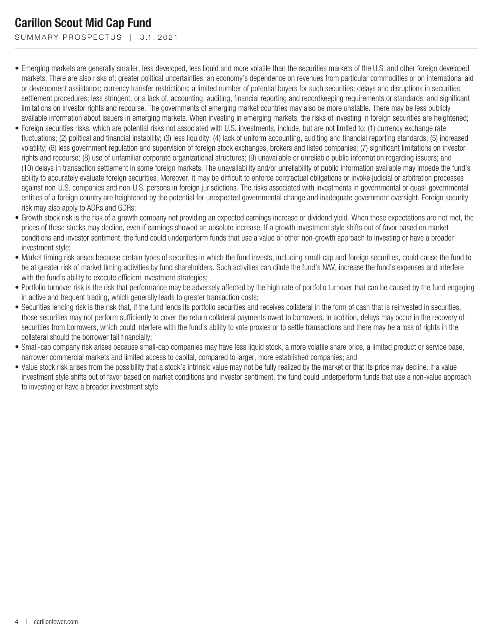SUMMARY PROSPECTUS | 3.1.2021

- Emerging markets are generally smaller, less developed, less liquid and more volatile than the securities markets of the U.S. and other foreign developed markets. There are also risks of: greater political uncertainties; an economy's dependence on revenues from particular commodities or on international aid or development assistance; currency transfer restrictions; a limited number of potential buyers for such securities; delays and disruptions in securities settlement procedures; less stringent, or a lack of, accounting, auditing, financial reporting and recordkeeping requirements or standards; and significant limitations on investor rights and recourse. The governments of emerging market countries may also be more unstable. There may be less publicly available information about issuers in emerging markets. When investing in emerging markets, the risks of investing in foreign securities are heightened;
- Foreign securities risks, which are potential risks not associated with U.S. investments, include, but are not limited to: (1) currency exchange rate fluctuations; (2) political and financial instability; (3) less liquidity; (4) lack of uniform accounting, auditing and financial reporting standards; (5) increased volatility; (6) less government regulation and supervision of foreign stock exchanges, brokers and listed companies; (7) significant limitations on investor rights and recourse; (8) use of unfamiliar corporate organizational structures; (9) unavailable or unreliable public information regarding issuers; and (10) delays in transaction settlement in some foreign markets. The unavailability and/or unreliability of public information available may impede the fund's ability to accurately evaluate foreign securities. Moreover, it may be difficult to enforce contractual obligations or invoke judicial or arbitration processes against non-U.S. companies and non-U.S. persons in foreign jurisdictions. The risks associated with investments in governmental or quasi-governmental entities of a foreign country are heightened by the potential for unexpected governmental change and inadequate government oversight. Foreign security risk may also apply to ADRs and GDRs;
- Growth stock risk is the risk of a growth company not providing an expected earnings increase or dividend yield. When these expectations are not met, the prices of these stocks may decline, even if earnings showed an absolute increase. If a growth investment style shifts out of favor based on market conditions and investor sentiment, the fund could underperform funds that use a value or other non-growth approach to investing or have a broader investment style;
- Market timing risk arises because certain types of securities in which the fund invests, including small-cap and foreign securities, could cause the fund to be at greater risk of market timing activities by fund shareholders. Such activities can dilute the fund's NAV, increase the fund's expenses and interfere with the fund's ability to execute efficient investment strategies;
- Portfolio turnover risk is the risk that performance may be adversely affected by the high rate of portfolio turnover that can be caused by the fund engaging in active and frequent trading, which generally leads to greater transaction costs;
- Securities lending risk is the risk that, if the fund lends its portfolio securities and receives collateral in the form of cash that is reinvested in securities, those securities may not perform sufficiently to cover the return collateral payments owed to borrowers. In addition, delays may occur in the recovery of securities from borrowers, which could interfere with the fund's ability to vote proxies or to settle transactions and there may be a loss of rights in the collateral should the borrower fail financially;
- Small-cap company risk arises because small-cap companies may have less liquid stock, a more volatile share price, a limited product or service base, narrower commercial markets and limited access to capital, compared to larger, more established companies; and
- Value stock risk arises from the possibility that a stock's intrinsic value may not be fully realized by the market or that its price may decline. If a value investment style shifts out of favor based on market conditions and investor sentiment, the fund could underperform funds that use a non-value approach to investing or have a broader investment style.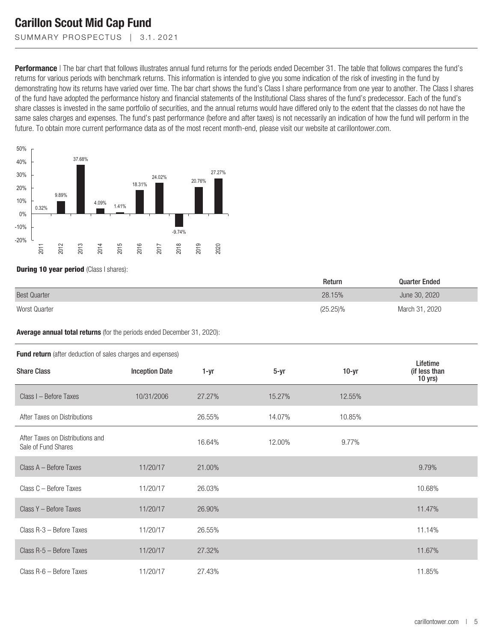SUMMARY PROSPECTUS | 3.1.2021

**Performance** | The bar chart that follows illustrates annual fund returns for the periods ended December 31. The table that follows compares the fund's returns for various periods with benchmark returns. This information is intended to give you some indication of the risk of investing in the fund by demonstrating how its returns have varied over time. The bar chart shows the fund's Class I share performance from one year to another. The Class I shares of the fund have adopted the performance history and financial statements of the Institutional Class shares of the fund's predecessor. Each of the fund's share classes is invested in the same portfolio of securities, and the annual returns would have differed only to the extent that the classes do not have the same sales charges and expenses. The fund's past performance (before and after taxes) is not necessarily an indication of how the fund will perform in the future. To obtain more current performance data as of the most recent month-end, please visit our website at carillontower.com.



**During 10 year period** (Class I shares):

|                     | Return      | <b>Quarter Ended</b> |
|---------------------|-------------|----------------------|
| <b>Best Quarter</b> | 28.15%      | June 30, 2020        |
| Worst Quarter       | $(25.25)\%$ | March 31, 2020       |

**Average annual total returns** (for the periods ended December 31, 2020):

| <b>Fund return</b> (after deduction of sales charges and expenses) |                       |        |        |         |                                        |  |  |  |
|--------------------------------------------------------------------|-----------------------|--------|--------|---------|----------------------------------------|--|--|--|
| <b>Share Class</b>                                                 | <b>Inception Date</b> | 1-yr   | $5-yr$ | $10-yr$ | Lifetime<br>(if less than<br>$10$ yrs) |  |  |  |
| Class I - Before Taxes                                             | 10/31/2006            | 27.27% | 15.27% | 12.55%  |                                        |  |  |  |
| After Taxes on Distributions                                       |                       | 26.55% | 14.07% | 10.85%  |                                        |  |  |  |
| After Taxes on Distributions and<br>Sale of Fund Shares            |                       | 16.64% | 12.00% | 9.77%   |                                        |  |  |  |
| Class A - Before Taxes                                             | 11/20/17              | 21.00% |        |         | 9.79%                                  |  |  |  |
| Class C - Before Taxes                                             | 11/20/17              | 26.03% |        |         | 10.68%                                 |  |  |  |
| Class Y - Before Taxes                                             | 11/20/17              | 26.90% |        |         | 11.47%                                 |  |  |  |
| Class R-3 - Before Taxes                                           | 11/20/17              | 26.55% |        |         | 11.14%                                 |  |  |  |
| Class R-5 - Before Taxes                                           | 11/20/17              | 27.32% |        |         | 11.67%                                 |  |  |  |
| Class R-6 - Before Taxes                                           | 11/20/17              | 27.43% |        |         | 11.85%                                 |  |  |  |